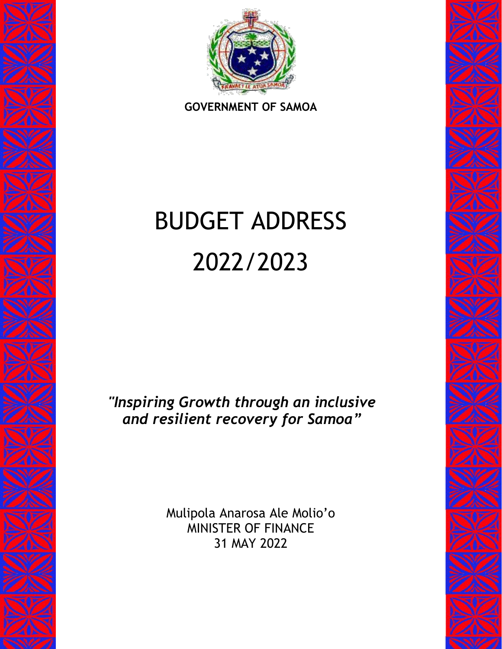

**GOVERNMENT OF SAMOA**

# BUDGET ADDRESS 2022/2023

*"Inspiring Growth through an inclusive and resilient recovery for Samoa"*

> Mulipola Anarosa Ale Molio'o MINISTER OF FINANCE 31 MAY 2022

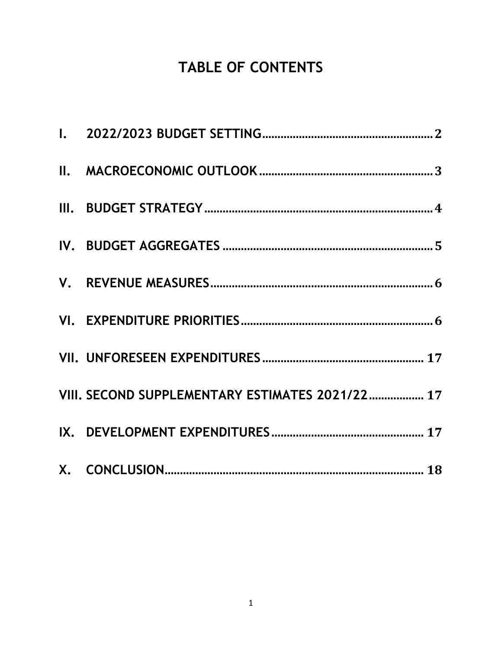# TABLE OF CONTENTS

| VIII. SECOND SUPPLEMENTARY ESTIMATES 2021/22 17 |
|-------------------------------------------------|
|                                                 |
|                                                 |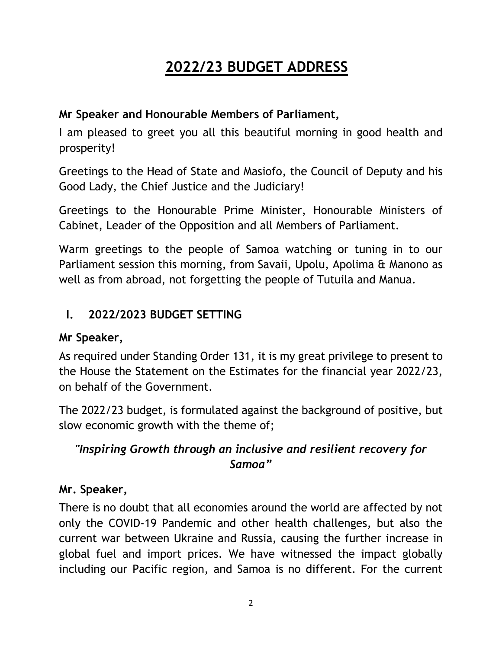## **2022/23 BUDGET ADDRESS**

#### **Mr Speaker and Honourable Members of Parliament,**

I am pleased to greet you all this beautiful morning in good health and prosperity!

Greetings to the Head of State and Masiofo, the Council of Deputy and his Good Lady, the Chief Justice and the Judiciary!

Greetings to the Honourable Prime Minister, Honourable Ministers of Cabinet, Leader of the Opposition and all Members of Parliament.

Warm greetings to the people of Samoa watching or tuning in to our Parliament session this morning, from Savaii, Upolu, Apolima & Manono as well as from abroad, not forgetting the people of Tutuila and Manua.

## <span id="page-2-0"></span>**I. 2022/2023 BUDGET SETTING**

#### **Mr Speaker,**

As required under Standing Order 131, it is my great privilege to present to the House the Statement on the Estimates for the financial year 2022/23, on behalf of the Government.

The 2022/23 budget, is formulated against the background of positive, but slow economic growth with the theme of;

## *"Inspiring Growth through an inclusive and resilient recovery for Samoa"*

## **Mr. Speaker,**

There is no doubt that all economies around the world are affected by not only the COVID-19 Pandemic and other health challenges, but also the current war between Ukraine and Russia, causing the further increase in global fuel and import prices. We have witnessed the impact globally including our Pacific region, and Samoa is no different. For the current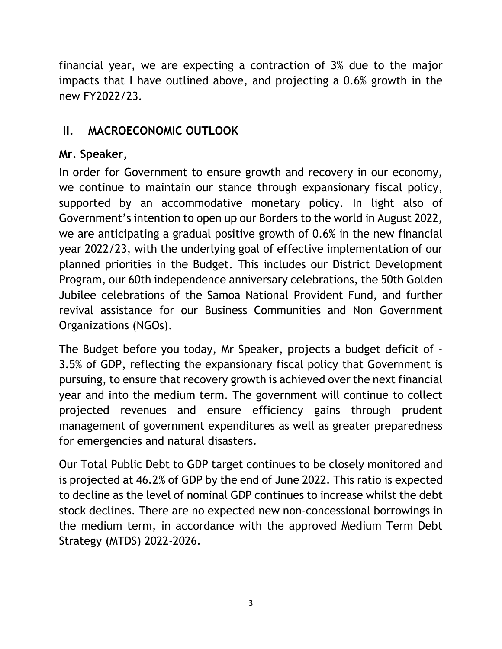financial year, we are expecting a contraction of 3% due to the major impacts that I have outlined above, and projecting a 0.6% growth in the new FY2022/23.

## <span id="page-3-0"></span>**II. MACROECONOMIC OUTLOOK**

## **Mr. Speaker,**

In order for Government to ensure growth and recovery in our economy, we continue to maintain our stance through expansionary fiscal policy, supported by an accommodative monetary policy. In light also of Government's intention to open up our Borders to the world in August 2022, we are anticipating a gradual positive growth of 0.6% in the new financial year 2022/23, with the underlying goal of effective implementation of our planned priorities in the Budget. This includes our District Development Program, our 60th independence anniversary celebrations, the 50th Golden Jubilee celebrations of the Samoa National Provident Fund, and further revival assistance for our Business Communities and Non Government Organizations (NGOs).

The Budget before you today, Mr Speaker, projects a budget deficit of - 3.5% of GDP, reflecting the expansionary fiscal policy that Government is pursuing, to ensure that recovery growth is achieved over the next financial year and into the medium term. The government will continue to collect projected revenues and ensure efficiency gains through prudent management of government expenditures as well as greater preparedness for emergencies and natural disasters.

Our Total Public Debt to GDP target continues to be closely monitored and is projected at 46.2% of GDP by the end of June 2022. This ratio is expected to decline as the level of nominal GDP continues to increase whilst the debt stock declines. There are no expected new non-concessional borrowings in the medium term, in accordance with the approved Medium Term Debt Strategy (MTDS) 2022-2026.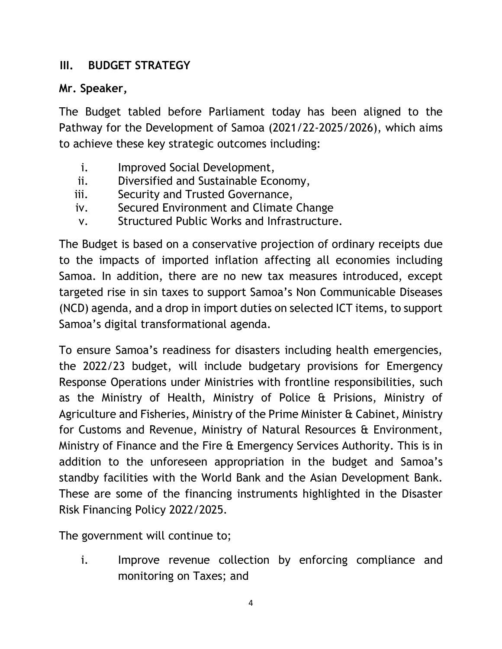#### <span id="page-4-0"></span>**III. BUDGET STRATEGY**

#### **Mr. Speaker,**

The Budget tabled before Parliament today has been aligned to the Pathway for the Development of Samoa (2021/22-2025/2026), which aims to achieve these key strategic outcomes including:

- i. Improved Social Development,
- ii. Diversified and Sustainable Economy,
- iii. Security and Trusted Governance,
- iv. Secured Environment and Climate Change
- v. Structured Public Works and Infrastructure.

The Budget is based on a conservative projection of ordinary receipts due to the impacts of imported inflation affecting all economies including Samoa. In addition, there are no new tax measures introduced, except targeted rise in sin taxes to support Samoa's Non Communicable Diseases (NCD) agenda, and a drop in import duties on selected ICT items, to support Samoa's digital transformational agenda.

To ensure Samoa's readiness for disasters including health emergencies, the 2022/23 budget, will include budgetary provisions for Emergency Response Operations under Ministries with frontline responsibilities, such as the Ministry of Health, Ministry of Police & Prisions, Ministry of Agriculture and Fisheries, Ministry of the Prime Minister & Cabinet, Ministry for Customs and Revenue, Ministry of Natural Resources & Environment, Ministry of Finance and the Fire & Emergency Services Authority. This is in addition to the unforeseen appropriation in the budget and Samoa's standby facilities with the World Bank and the Asian Development Bank. These are some of the financing instruments highlighted in the Disaster Risk Financing Policy 2022/2025.

The government will continue to;

i. Improve revenue collection by enforcing compliance and monitoring on Taxes; and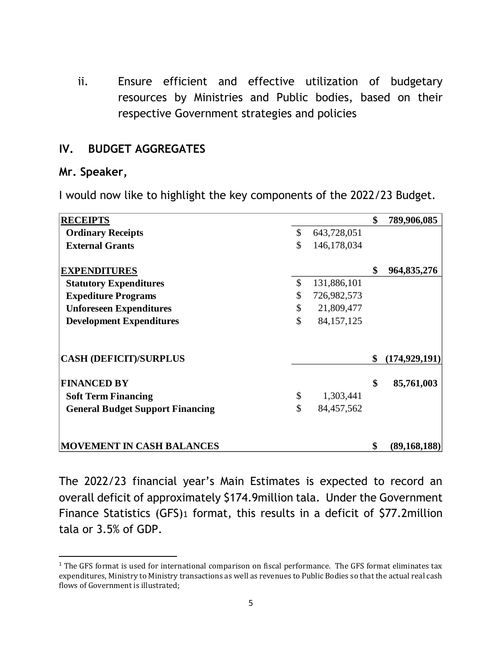ii. Ensure efficient and effective utilization of budgetary resources by Ministries and Public bodies, based on their respective Government strategies and policies

#### <span id="page-5-0"></span>**IV. BUDGET AGGREGATES**

#### **Mr. Speaker,**

I would now like to highlight the key components of the 2022/23 Budget.

| <b>RECEIPTS</b>                         |                    | \$<br>789,906,085     |
|-----------------------------------------|--------------------|-----------------------|
| <b>Ordinary Receipts</b>                | \$<br>643,728,051  |                       |
| <b>External Grants</b>                  | \$<br>146,178,034  |                       |
| <b>EXPENDITURES</b>                     |                    | \$<br>964,835,276     |
| <b>Statutory Expenditures</b>           | \$<br>131,886,101  |                       |
| <b>Expediture Programs</b>              | \$<br>726,982,573  |                       |
| <b>Unforeseen Expenditures</b>          | \$<br>21,809,477   |                       |
| <b>Development Expenditures</b>         | \$<br>84, 157, 125 |                       |
| <b>CASH (DEFICIT)/SURPLUS</b>           |                    | \$<br>(174, 929, 191) |
| <b>FINANCED BY</b>                      |                    | \$<br>85,761,003      |
| <b>Soft Term Financing</b>              | \$<br>1,303,441    |                       |
| <b>General Budget Support Financing</b> | \$<br>84,457,562   |                       |
| <b>MOVEMENT IN CASH BALANCES</b>        |                    | \$<br>(89, 168, 188)  |

The 2022/23 financial year's Main Estimates is expected to record an overall deficit of approximately \$174.9million tala. Under the Government Finance Statistics (GFS)1 format, this results in a deficit of \$77.2million tala or 3.5% of GDP.

 $\overline{\phantom{a}}$ <sup>1</sup> The GFS format is used for international comparison on fiscal performance. The GFS format eliminates tax expenditures, Ministry to Ministry transactions as well as revenues to Public Bodies so that the actual real cash flows of Government is illustrated;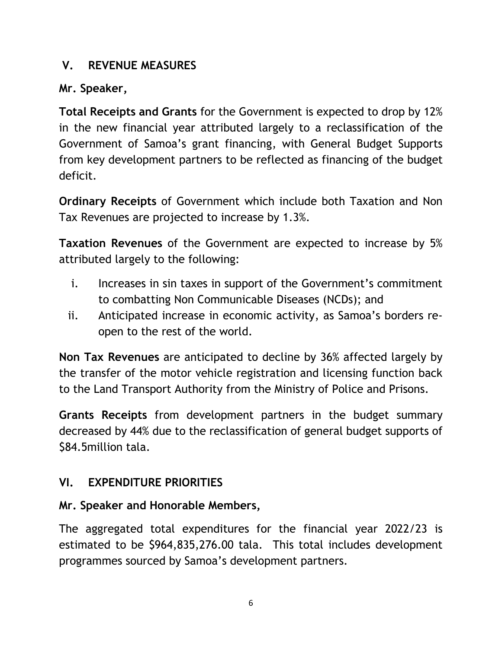#### <span id="page-6-0"></span>**V. REVENUE MEASURES**

## **Mr. Speaker,**

**Total Receipts and Grants** for the Government is expected to drop by 12% in the new financial year attributed largely to a reclassification of the Government of Samoa's grant financing, with General Budget Supports from key development partners to be reflected as financing of the budget deficit.

**Ordinary Receipts** of Government which include both Taxation and Non Tax Revenues are projected to increase by 1.3%.

**Taxation Revenues** of the Government are expected to increase by 5% attributed largely to the following:

- i. Increases in sin taxes in support of the Government's commitment to combatting Non Communicable Diseases (NCDs); and
- ii. Anticipated increase in economic activity, as Samoa's borders reopen to the rest of the world.

**Non Tax Revenues** are anticipated to decline by 36% affected largely by the transfer of the motor vehicle registration and licensing function back to the Land Transport Authority from the Ministry of Police and Prisons.

**Grants Receipts** from development partners in the budget summary decreased by 44% due to the reclassification of general budget supports of \$84.5million tala.

## <span id="page-6-1"></span>**VI. EXPENDITURE PRIORITIES**

## **Mr. Speaker and Honorable Members,**

The aggregated total expenditures for the financial year 2022/23 is estimated to be \$964,835,276.00 tala. This total includes development programmes sourced by Samoa's development partners.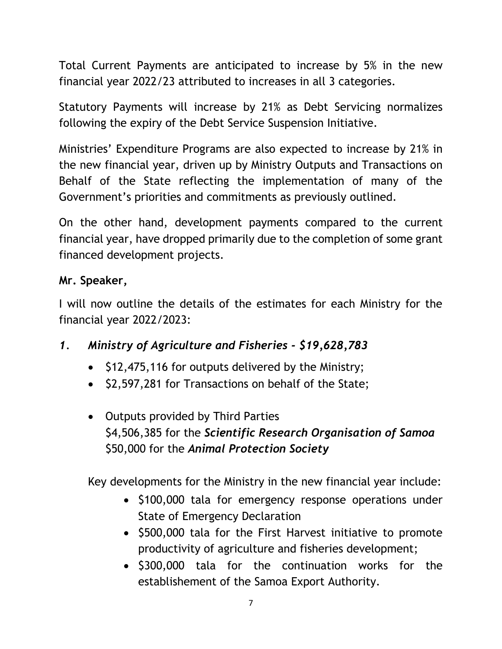Total Current Payments are anticipated to increase by 5% in the new financial year 2022/23 attributed to increases in all 3 categories.

Statutory Payments will increase by 21% as Debt Servicing normalizes following the expiry of the Debt Service Suspension Initiative.

Ministries' Expenditure Programs are also expected to increase by 21% in the new financial year, driven up by Ministry Outputs and Transactions on Behalf of the State reflecting the implementation of many of the Government's priorities and commitments as previously outlined.

On the other hand, development payments compared to the current financial year, have dropped primarily due to the completion of some grant financed development projects.

#### **Mr. Speaker,**

I will now outline the details of the estimates for each Ministry for the financial year 2022/2023:

## *1. Ministry of Agriculture and Fisheries - \$19,628,783*

- $\bullet$  \$12,475,116 for outputs delivered by the Ministry;
- \$2,597,281 for Transactions on behalf of the State;
- Outputs provided by Third Parties \$4,506,385 for the *Scientific Research Organisation of Samoa* \$50,000 for the *Animal Protection Society*

Key developments for the Ministry in the new financial year include:

- \$100,000 tala for emergency response operations under State of Emergency Declaration
- \$500,000 tala for the First Harvest initiative to promote productivity of agriculture and fisheries development;
- \$300,000 tala for the continuation works for the establishement of the Samoa Export Authority.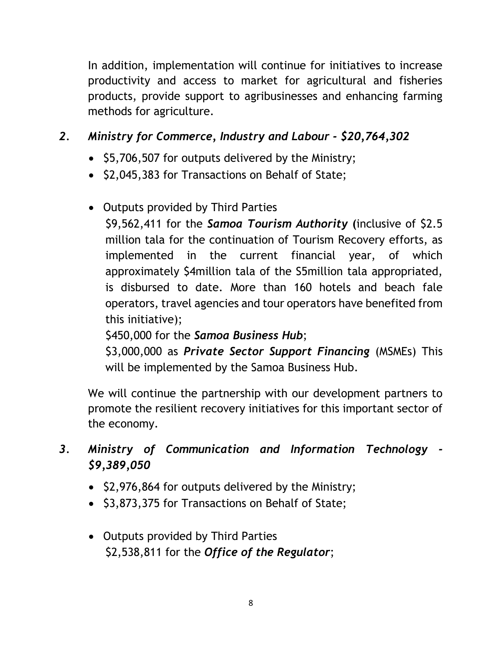In addition, implementation will continue for initiatives to increase productivity and access to market for agricultural and fisheries products, provide support to agribusinesses and enhancing farming methods for agriculture.

## *2. Ministry for Commerce, Industry and Labour - \$20,764,302*

- \$5,706,507 for outputs delivered by the Ministry;
- \$2,045,383 for Transactions on Behalf of State;
- Outputs provided by Third Parties

\$9,562,411 for the *Samoa Tourism Authority* **(**inclusive of \$2.5 million tala for the continuation of Tourism Recovery efforts, as implemented in the current financial year, of which approximately \$4million tala of the S5million tala appropriated, is disbursed to date. More than 160 hotels and beach fale operators, travel agencies and tour operators have benefited from this initiative);

## \$450,000 for the *Samoa Business Hub*;

\$3,000,000 as *Private Sector Support Financing* (MSMEs) This will be implemented by the Samoa Business Hub.

We will continue the partnership with our development partners to promote the resilient recovery initiatives for this important sector of the economy.

*3. Ministry of Communication and Information Technology - \$9,389,050*

- \$2,976,864 for outputs delivered by the Ministry;
- \$3,873,375 for Transactions on Behalf of State;
- Outputs provided by Third Parties \$2,538,811 for the *Office of the Regulator*;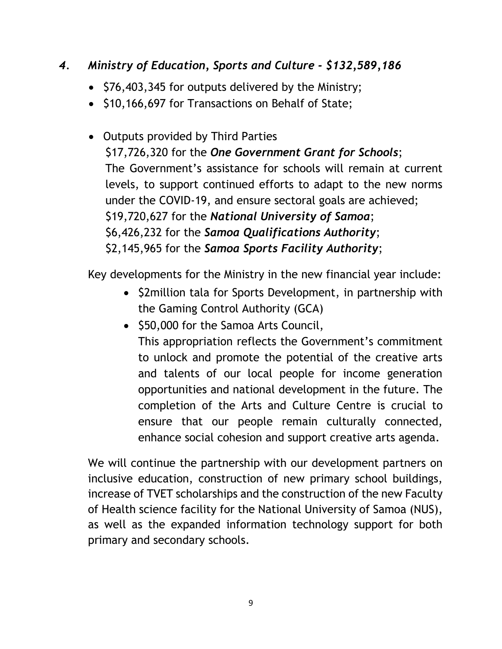#### *4. Ministry of Education, Sports and Culture - \$132,589,186*

- \$76,403,345 for outputs delivered by the Ministry;
- \$10,166,697 for Transactions on Behalf of State;
- Outputs provided by Third Parties \$17,726,320 for the *One Government Grant for Schools*; The Government's assistance for schools will remain at current levels, to support continued efforts to adapt to the new norms under the COVID-19, and ensure sectoral goals are achieved; \$19,720,627 for the *National University of Samoa*; \$6,426,232 for the *Samoa Qualifications Authority*; \$2,145,965 for the *Samoa Sports Facility Authority*;

Key developments for the Ministry in the new financial year include:

- \$2million tala for Sports Development, in partnership with the Gaming Control Authority (GCA)
- \$50,000 for the Samoa Arts Council, This appropriation reflects the Government's commitment to unlock and promote the potential of the creative arts and talents of our local people for income generation opportunities and national development in the future. The completion of the Arts and Culture Centre is crucial to ensure that our people remain culturally connected, enhance social cohesion and support creative arts agenda.

We will continue the partnership with our development partners on inclusive education, construction of new primary school buildings, increase of TVET scholarships and the construction of the new Faculty of Health science facility for the National University of Samoa (NUS), as well as the expanded information technology support for both primary and secondary schools.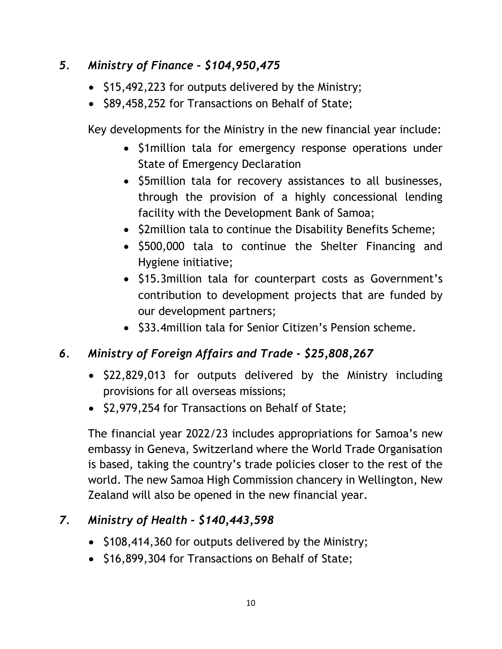## *5. Ministry of Finance - \$104,950,475*

- \$15,492,223 for outputs delivered by the Ministry;
- \$89,458,252 for Transactions on Behalf of State;

Key developments for the Ministry in the new financial year include:

- \$1 million tala for emergency response operations under State of Emergency Declaration
- \$5million tala for recovery assistances to all businesses, through the provision of a highly concessional lending facility with the Development Bank of Samoa;
- \$2million tala to continue the Disability Benefits Scheme;
- \$500,000 tala to continue the Shelter Financing and Hygiene initiative;
- \$15.3million tala for counterpart costs as Government's contribution to development projects that are funded by our development partners;
- \$33.4 million tala for Senior Citizen's Pension scheme.

## *6. Ministry of Foreign Affairs and Trade - \$25,808,267*

- \$22,829,013 for outputs delivered by the Ministry including provisions for all overseas missions;
- \$2,979,254 for Transactions on Behalf of State;

The financial year 2022/23 includes appropriations for Samoa's new embassy in Geneva, Switzerland where the World Trade Organisation is based, taking the country's trade policies closer to the rest of the world. The new Samoa High Commission chancery in Wellington, New Zealand will also be opened in the new financial year.

## *7. Ministry of Health - \$140,443,598*

- \$108,414,360 for outputs delivered by the Ministry;
- \$16,899,304 for Transactions on Behalf of State;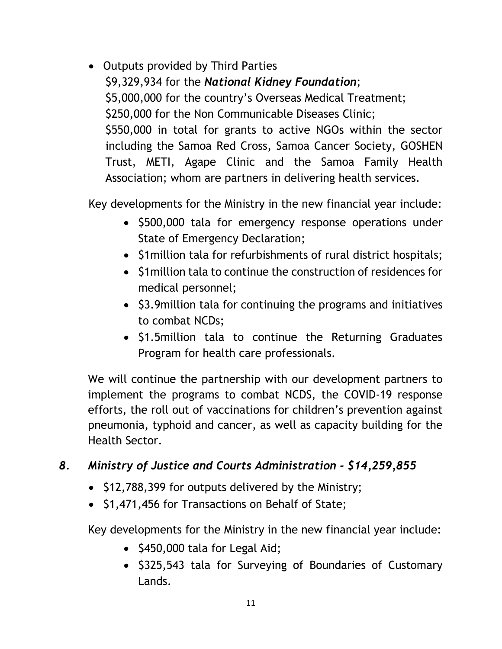Outputs provided by Third Parties \$9,329,934 for the *National Kidney Foundation*; \$5,000,000 for the country's Overseas Medical Treatment; \$250,000 for the Non Communicable Diseases Clinic; \$550,000 in total for grants to active NGOs within the sector including the Samoa Red Cross, Samoa Cancer Society, GOSHEN Trust, METI, Agape Clinic and the Samoa Family Health Association; whom are partners in delivering health services.

Key developments for the Ministry in the new financial year include:

- \$500,000 tala for emergency response operations under State of Emergency Declaration;
- \$1 million tala for refurbishments of rural district hospitals;
- S1 million tala to continue the construction of residences for medical personnel;
- \$3.9 million tala for continuing the programs and initiatives to combat NCDs;
- \$1.5million tala to continue the Returning Graduates Program for health care professionals.

We will continue the partnership with our development partners to implement the programs to combat NCDS, the COVID-19 response efforts, the roll out of vaccinations for children's prevention against pneumonia, typhoid and cancer, as well as capacity building for the Health Sector.

## *8. Ministry of Justice and Courts Administration - \$14,259,855*

- \$12,788,399 for outputs delivered by the Ministry;
- \$1,471,456 for Transactions on Behalf of State;

Key developments for the Ministry in the new financial year include:

- $\bullet$  \$450,000 tala for Legal Aid;
- \$325,543 tala for Surveying of Boundaries of Customary Lands.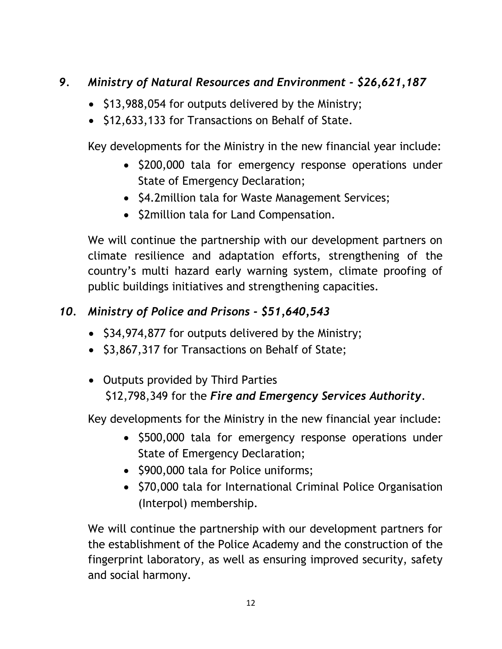## *9. Ministry of Natural Resources and Environment - \$26,621,187*

- \$13,988,054 for outputs delivered by the Ministry;
- \$12,633,133 for Transactions on Behalf of State.

Key developments for the Ministry in the new financial year include:

- \$200,000 tala for emergency response operations under State of Emergency Declaration;
- \$4.2 million tala for Waste Management Services;
- \$2million tala for Land Compensation.

We will continue the partnership with our development partners on climate resilience and adaptation efforts, strengthening of the country's multi hazard early warning system, climate proofing of public buildings initiatives and strengthening capacities.

## *10. Ministry of Police and Prisons - \$51,640,543*

- \$34,974,877 for outputs delivered by the Ministry;
- \$3,867,317 for Transactions on Behalf of State;

## • Outputs provided by Third Parties \$12,798,349 for the *Fire and Emergency Services Authority*.

Key developments for the Ministry in the new financial year include:

- \$500,000 tala for emergency response operations under State of Emergency Declaration;
- \$900,000 tala for Police uniforms;
- \$70,000 tala for International Criminal Police Organisation (Interpol) membership.

We will continue the partnership with our development partners for the establishment of the Police Academy and the construction of the fingerprint laboratory, as well as ensuring improved security, safety and social harmony.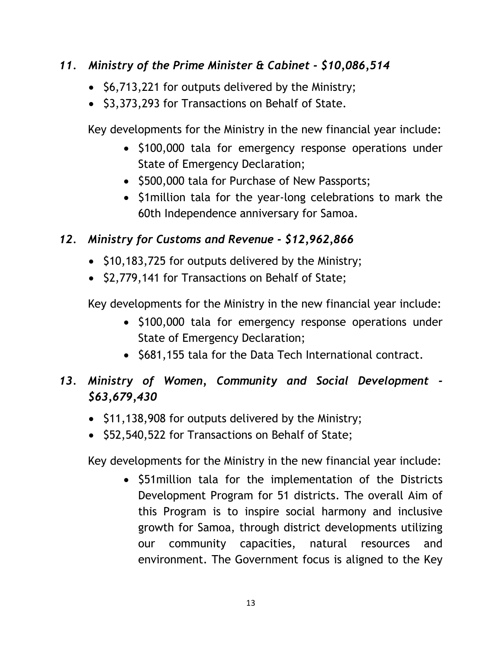#### *11. Ministry of the Prime Minister & Cabinet - \$10,086,514*

- \$6,713,221 for outputs delivered by the Ministry;
- \$3,373,293 for Transactions on Behalf of State.

Key developments for the Ministry in the new financial year include:

- \$100,000 tala for emergency response operations under State of Emergency Declaration;
- \$500,000 tala for Purchase of New Passports;
- \$1 million tala for the year-long celebrations to mark the 60th Independence anniversary for Samoa.

#### *12. Ministry for Customs and Revenue - \$12,962,866*

- \$10,183,725 for outputs delivered by the Ministry;
- \$2,779,141 for Transactions on Behalf of State;

Key developments for the Ministry in the new financial year include:

- \$100,000 tala for emergency response operations under State of Emergency Declaration;
- \$681,155 tala for the Data Tech International contract.

## *13. Ministry of Women, Community and Social Development - \$63,679,430*

- \$11,138,908 for outputs delivered by the Ministry;
- \$52,540,522 for Transactions on Behalf of State;

Key developments for the Ministry in the new financial year include:

• \$51 million tala for the implementation of the Districts Development Program for 51 districts. The overall Aim of this Program is to inspire social harmony and inclusive growth for Samoa, through district developments utilizing our community capacities, natural resources and environment. The Government focus is aligned to the Key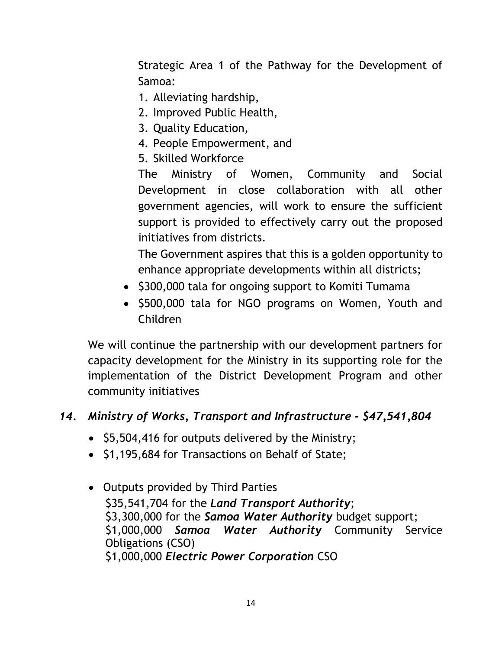Strategic Area 1 of the Pathway for the Development of Samoa:

- 1. Alleviating hardship,
- 2. Improved Public Health,
- 3. Quality Education,
- 4. People Empowerment, and
- 5. Skilled Workforce

The Ministry of Women, Community and Social Development in close collaboration with all other government agencies, will work to ensure the sufficient support is provided to effectively carry out the proposed initiatives from districts.

The Government aspires that this is a golden opportunity to enhance appropriate developments within all districts;

- \$300,000 tala for ongoing support to Komiti Tumama
- \$500,000 tala for NGO programs on Women, Youth and Children

We will continue the partnership with our development partners for capacity development for the Ministry in its supporting role for the implementation of the District Development Program and other community initiatives

## *14. Ministry of Works, Transport and Infrastructure - \$47,541,804*

- $\bullet$  \$5,504,416 for outputs delivered by the Ministry;
- \$1,195,684 for Transactions on Behalf of State;
- Outputs provided by Third Parties \$35,541,704 for the *Land Transport Authority*; \$3,300,000 for the *Samoa Water Authority* budget support; \$1,000,000 *Samoa Water Authority* Community Service Obligations (CSO) \$1,000,000 *Electric Power Corporation* CSO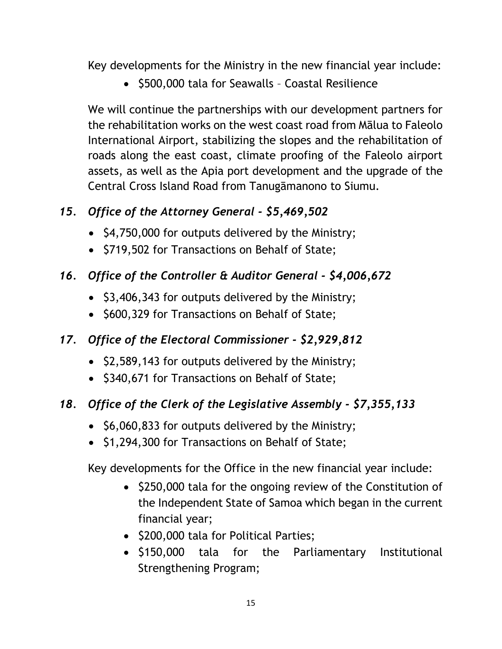Key developments for the Ministry in the new financial year include:

• \$500,000 tala for Seawalls - Coastal Resilience

We will continue the partnerships with our development partners for the rehabilitation works on the west coast road from Mālua to Faleolo International Airport, stabilizing the slopes and the rehabilitation of roads along the east coast, climate proofing of the Faleolo airport assets, as well as the Apia port development and the upgrade of the Central Cross Island Road from Tanugāmanono to Siumu.

## *15. Office of the Attorney General - \$5,469,502*

- \$4,750,000 for outputs delivered by the Ministry;
- \$719,502 for Transactions on Behalf of State;

## *16. Office of the Controller & Auditor General - \$4,006,672*

- \$3,406,343 for outputs delivered by the Ministry;
- \$600,329 for Transactions on Behalf of State;

## *17. Office of the Electoral Commissioner - \$2,929,812*

- \$2,589,143 for outputs delivered by the Ministry;
- \$340,671 for Transactions on Behalf of State;

## *18. Office of the Clerk of the Legislative Assembly - \$7,355,133*

- \$6,060,833 for outputs delivered by the Ministry;
- \$1,294,300 for Transactions on Behalf of State;

Key developments for the Office in the new financial year include:

- \$250,000 tala for the ongoing review of the Constitution of the Independent State of Samoa which began in the current financial year;
- \$200,000 tala for Political Parties;
- \$150,000 tala for the Parliamentary Institutional Strengthening Program;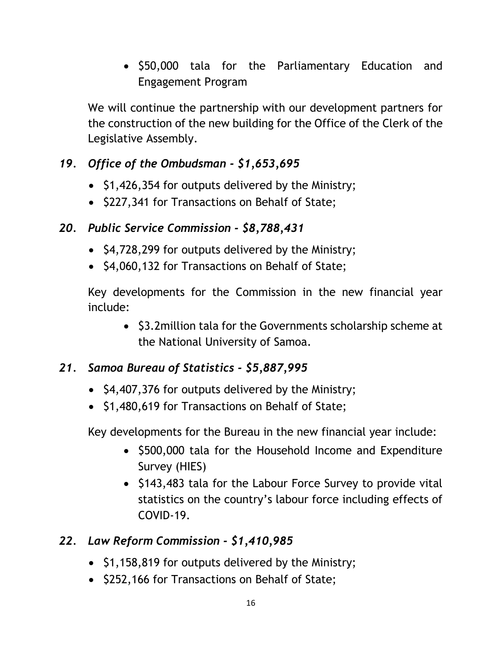• \$50,000 tala for the Parliamentary Education and Engagement Program

We will continue the partnership with our development partners for the construction of the new building for the Office of the Clerk of the Legislative Assembly.

## *19. Office of the Ombudsman - \$1,653,695*

- $\bullet$  \$1,426,354 for outputs delivered by the Ministry;
- \$227,341 for Transactions on Behalf of State;

## *20. Public Service Commission - \$8,788,431*

- \$4,728,299 for outputs delivered by the Ministry;
- \$4,060,132 for Transactions on Behalf of State;

Key developments for the Commission in the new financial year include:

• \$3.2 million tala for the Governments scholarship scheme at the National University of Samoa.

## *21. Samoa Bureau of Statistics - \$5,887,995*

- \$4,407,376 for outputs delivered by the Ministry;
- \$1,480,619 for Transactions on Behalf of State;

Key developments for the Bureau in the new financial year include:

- \$500,000 tala for the Household Income and Expenditure Survey (HIES)
- \$143,483 tala for the Labour Force Survey to provide vital statistics on the country's labour force including effects of COVID-19.

## *22. Law Reform Commission - \$1,410,985*

- $\bullet$  \$1,158,819 for outputs delivered by the Ministry;
- \$252,166 for Transactions on Behalf of State;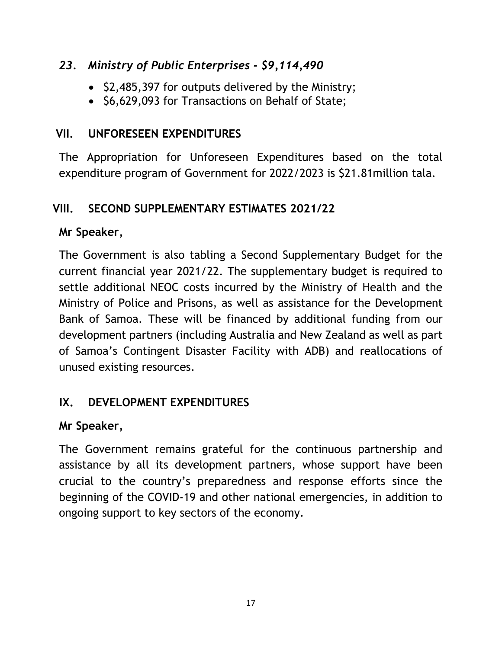#### *23. Ministry of Public Enterprises - \$9,114,490*

- \$2,485,397 for outputs delivered by the Ministry;
- \$6,629,093 for Transactions on Behalf of State;

## <span id="page-17-0"></span>**VII. UNFORESEEN EXPENDITURES**

The Appropriation for Unforeseen Expenditures based on the total expenditure program of Government for 2022/2023 is \$21.81million tala.

## <span id="page-17-1"></span>**VIII. SECOND SUPPLEMENTARY ESTIMATES 2021/22**

## **Mr Speaker,**

The Government is also tabling a Second Supplementary Budget for the current financial year 2021/22. The supplementary budget is required to settle additional NEOC costs incurred by the Ministry of Health and the Ministry of Police and Prisons, as well as assistance for the Development Bank of Samoa. These will be financed by additional funding from our development partners (including Australia and New Zealand as well as part of Samoa's Contingent Disaster Facility with ADB) and reallocations of unused existing resources.

## <span id="page-17-2"></span>**IX. DEVELOPMENT EXPENDITURES**

## **Mr Speaker,**

The Government remains grateful for the continuous partnership and assistance by all its development partners, whose support have been crucial to the country's preparedness and response efforts since the beginning of the COVID-19 and other national emergencies, in addition to ongoing support to key sectors of the economy.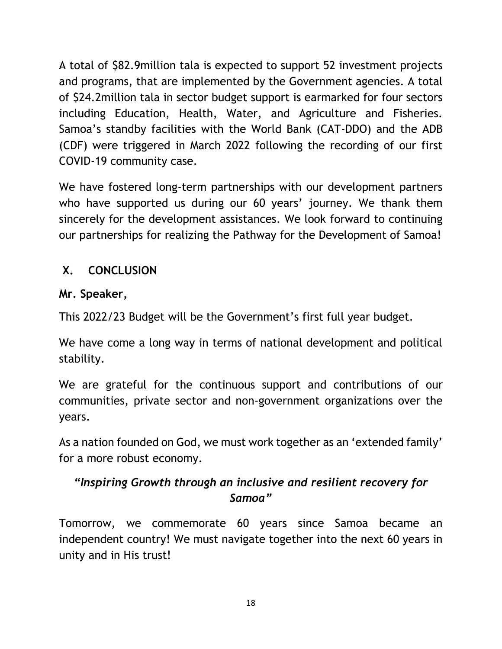A total of \$82.9million tala is expected to support 52 investment projects and programs, that are implemented by the Government agencies. A total of \$24.2million tala in sector budget support is earmarked for four sectors including Education, Health, Water, and Agriculture and Fisheries. Samoa's standby facilities with the World Bank (CAT-DDO) and the ADB (CDF) were triggered in March 2022 following the recording of our first COVID-19 community case.

We have fostered long-term partnerships with our development partners who have supported us during our 60 years' journey. We thank them sincerely for the development assistances. We look forward to continuing our partnerships for realizing the Pathway for the Development of Samoa!

## <span id="page-18-0"></span>**X. CONCLUSION**

## **Mr. Speaker,**

This 2022/23 Budget will be the Government's first full year budget.

We have come a long way in terms of national development and political stability.

We are grateful for the continuous support and contributions of our communities, private sector and non-government organizations over the years.

As a nation founded on God, we must work together as an 'extended family' for a more robust economy.

## *"Inspiring Growth through an inclusive and resilient recovery for Samoa"*

Tomorrow, we commemorate 60 years since Samoa became an independent country! We must navigate together into the next 60 years in unity and in His trust!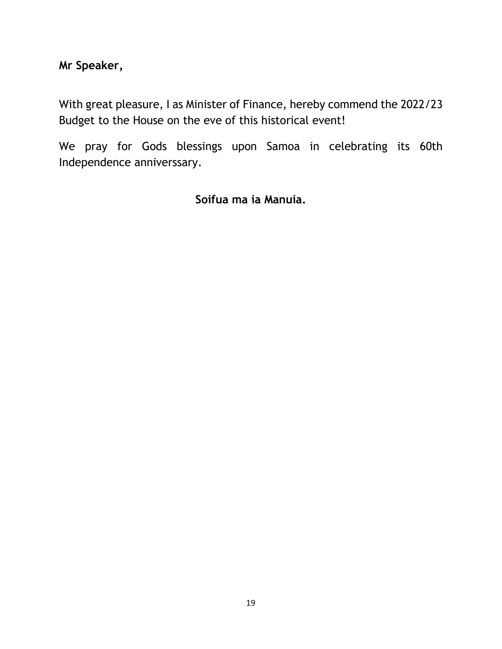**Mr Speaker,** 

With great pleasure, I as Minister of Finance, hereby commend the 2022/23 Budget to the House on the eve of this historical event!

We pray for Gods blessings upon Samoa in celebrating its 60th Independence anniverssary.

**Soifua ma ia Manuia.**